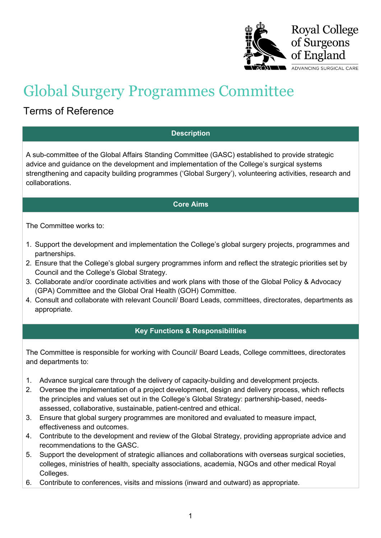

# Global Surgery Programmes Committee

## Terms of Reference

### **Description**

A sub-committee of the Global Affairs Standing Committee (GASC) established to provide strategic advice and guidance on the development and implementation of the College's surgical systems strengthening and capacity building programmes ('Global Surgery'), volunteering activities, research and collaborations.

#### **Core Aims**

The Committee works to:

- 1. Support the development and implementation the College's global surgery projects, programmes and partnerships.
- 2. Ensure that the College's global surgery programmes inform and reflect the strategic priorities set by Council and the College's Global Strategy.
- 3. Collaborate and/or coordinate activities and work plans with those of the Global Policy & Advocacy (GPA) Committee and the Global Oral Health (GOH) Committee.
- 4. Consult and collaborate with relevant Council/ Board Leads, committees, directorates, departments as appropriate.

### **Key Functions & Responsibilities**

The Committee is responsible for working with Council/ Board Leads, College committees, directorates and departments to:

- 1. Advance surgical care through the delivery of capacity-building and development projects.
- 2. Oversee the implementation of a project development, design and delivery process, which reflects the principles and values set out in the College's Global Strategy: partnership-based, needsassessed, collaborative, sustainable, patient-centred and ethical.
- 3. Ensure that global surgery programmes are monitored and evaluated to measure impact, effectiveness and outcomes.
- 4. Contribute to the development and review of the Global Strategy, providing appropriate advice and recommendations to the GASC.
- 5. Support the development of strategic alliances and collaborations with overseas surgical societies, colleges, ministries of health, specialty associations, academia, NGOs and other medical Royal Colleges.
- 6. Contribute to conferences, visits and missions (inward and outward) as appropriate.